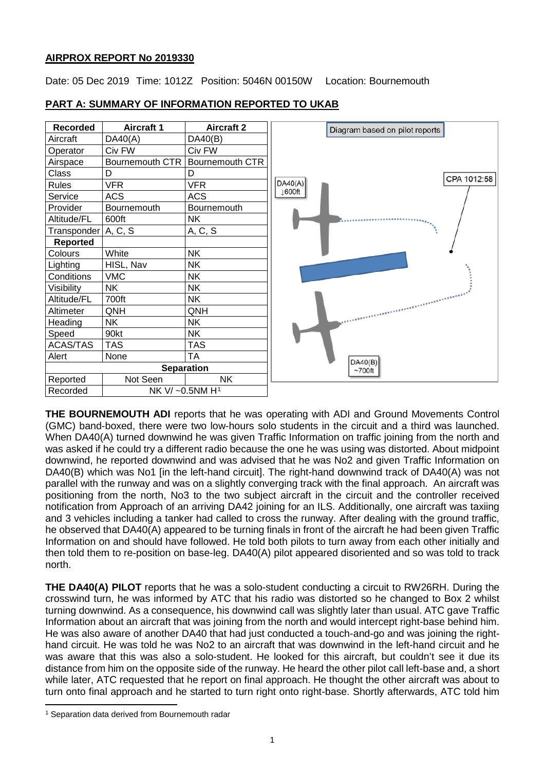# **AIRPROX REPORT No 2019330**

Date: 05 Dec 2019 Time: 1012Z Position: 5046N 00150W Location: Bournemouth



## **PART A: SUMMARY OF INFORMATION REPORTED TO UKAB**

**THE BOURNEMOUTH ADI** reports that he was operating with ADI and Ground Movements Control (GMC) band-boxed, there were two low-hours solo students in the circuit and a third was launched. When DA40(A) turned downwind he was given Traffic Information on traffic joining from the north and was asked if he could try a different radio because the one he was using was distorted. About midpoint downwind, he reported downwind and was advised that he was No2 and given Traffic Information on DA40(B) which was No1 [in the left-hand circuit]. The right-hand downwind track of DA40(A) was not parallel with the runway and was on a slightly converging track with the final approach. An aircraft was positioning from the north, No3 to the two subject aircraft in the circuit and the controller received notification from Approach of an arriving DA42 joining for an ILS. Additionally, one aircraft was taxiing and 3 vehicles including a tanker had called to cross the runway. After dealing with the ground traffic, he observed that DA40(A) appeared to be turning finals in front of the aircraft he had been given Traffic Information on and should have followed. He told both pilots to turn away from each other initially and then told them to re-position on base-leg. DA40(A) pilot appeared disoriented and so was told to track north.

**THE DA40(A) PILOT** reports that he was a solo-student conducting a circuit to RW26RH. During the crosswind turn, he was informed by ATC that his radio was distorted so he changed to Box 2 whilst turning downwind. As a consequence, his downwind call was slightly later than usual. ATC gave Traffic Information about an aircraft that was joining from the north and would intercept right-base behind him. He was also aware of another DA40 that had just conducted a touch-and-go and was joining the righthand circuit. He was told he was No2 to an aircraft that was downwind in the left-hand circuit and he was aware that this was also a solo-student. He looked for this aircraft, but couldn't see it due its distance from him on the opposite side of the runway. He heard the other pilot call left-base and, a short while later, ATC requested that he report on final approach. He thought the other aircraft was about to turn onto final approach and he started to turn right onto right-base. Shortly afterwards, ATC told him

l

<span id="page-0-0"></span><sup>1</sup> Separation data derived from Bournemouth radar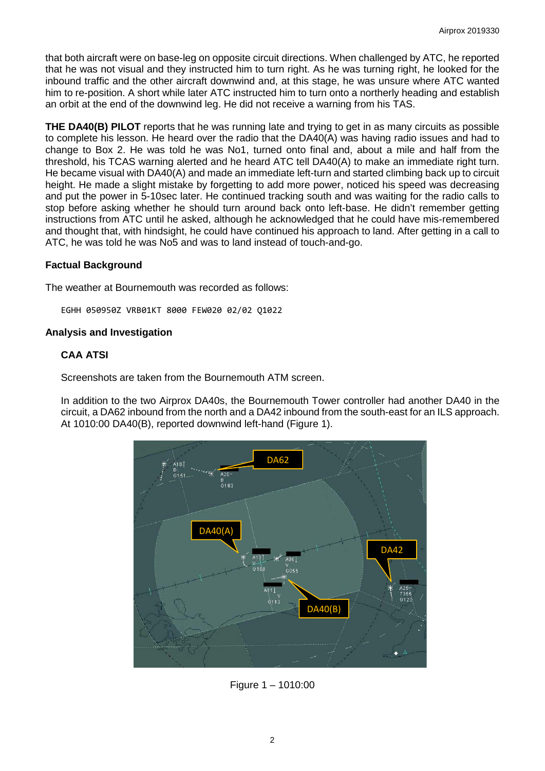that both aircraft were on base-leg on opposite circuit directions. When challenged by ATC, he reported that he was not visual and they instructed him to turn right. As he was turning right, he looked for the inbound traffic and the other aircraft downwind and, at this stage, he was unsure where ATC wanted him to re-position. A short while later ATC instructed him to turn onto a northerly heading and establish an orbit at the end of the downwind leg. He did not receive a warning from his TAS.

**THE DA40(B) PILOT** reports that he was running late and trying to get in as many circuits as possible to complete his lesson. He heard over the radio that the DA40(A) was having radio issues and had to change to Box 2. He was told he was No1, turned onto final and, about a mile and half from the threshold, his TCAS warning alerted and he heard ATC tell DA40(A) to make an immediate right turn. He became visual with DA40(A) and made an immediate left-turn and started climbing back up to circuit height. He made a slight mistake by forgetting to add more power, noticed his speed was decreasing and put the power in 5-10sec later. He continued tracking south and was waiting for the radio calls to stop before asking whether he should turn around back onto left-base. He didn't remember getting instructions from ATC until he asked, although he acknowledged that he could have mis-remembered and thought that, with hindsight, he could have continued his approach to land. After getting in a call to ATC, he was told he was No5 and was to land instead of touch-and-go.

# **Factual Background**

The weather at Bournemouth was recorded as follows:

EGHH 050950Z VRB01KT 8000 FEW020 02/02 Q1022

# **Analysis and Investigation**

# **CAA ATSI**

Screenshots are taken from the Bournemouth ATM screen.

In addition to the two Airprox DA40s, the Bournemouth Tower controller had another DA40 in the circuit, a DA62 inbound from the north and a DA42 inbound from the south-east for an ILS approach. At 1010:00 DA40(B), reported downwind left-hand (Figure 1).



Figure 1 – 1010:00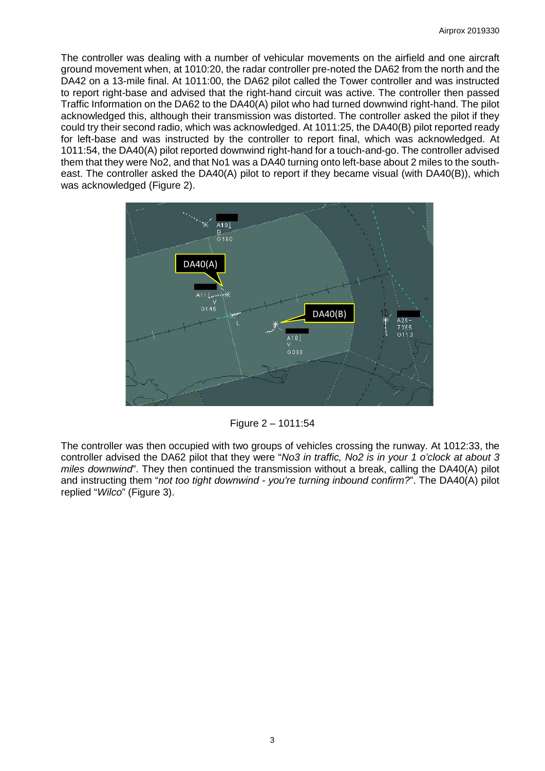The controller was dealing with a number of vehicular movements on the airfield and one aircraft ground movement when, at 1010:20, the radar controller pre-noted the DA62 from the north and the DA42 on a 13-mile final. At 1011:00, the DA62 pilot called the Tower controller and was instructed to report right-base and advised that the right-hand circuit was active. The controller then passed Traffic Information on the DA62 to the DA40(A) pilot who had turned downwind right-hand. The pilot acknowledged this, although their transmission was distorted. The controller asked the pilot if they could try their second radio, which was acknowledged. At 1011:25, the DA40(B) pilot reported ready for left-base and was instructed by the controller to report final, which was acknowledged. At 1011:54, the DA40(A) pilot reported downwind right-hand for a touch-and-go. The controller advised them that they were No2, and that No1 was a DA40 turning onto left-base about 2 miles to the southeast. The controller asked the DA40(A) pilot to report if they became visual (with DA40(B)), which was acknowledged (Figure 2).



Figure 2 – 1011:54

The controller was then occupied with two groups of vehicles crossing the runway. At 1012:33, the controller advised the DA62 pilot that they were "*No3 in traffic, No2 is in your 1 o'clock at about 3 miles downwind*". They then continued the transmission without a break, calling the DA40(A) pilot and instructing them "*not too tight downwind - you're turning inbound confirm?*". The DA40(A) pilot replied "*Wilco*" (Figure 3).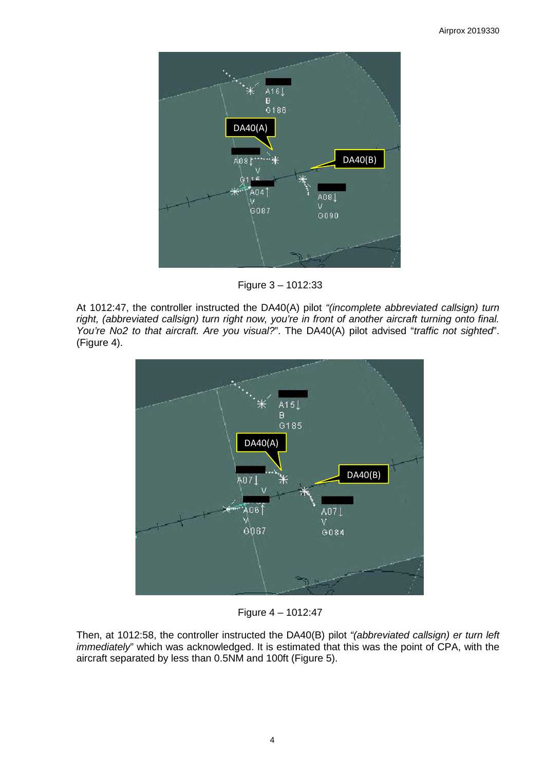

Figure 3 – 1012:33

At 1012:47, the controller instructed the DA40(A) pilot *"(incomplete abbreviated callsign) turn right, (abbreviated callsign) turn right now, you're in front of another aircraft turning onto final. You're No2 to that aircraft. Are you visual?*". The DA40(A) pilot advised "*traffic not sighted*". (Figure 4).



Figure 4 – 1012:47

Then, at 1012:58, the controller instructed the DA40(B) pilot *"(abbreviated callsign) er turn left immediately*" which was acknowledged. It is estimated that this was the point of CPA, with the aircraft separated by less than 0.5NM and 100ft (Figure 5).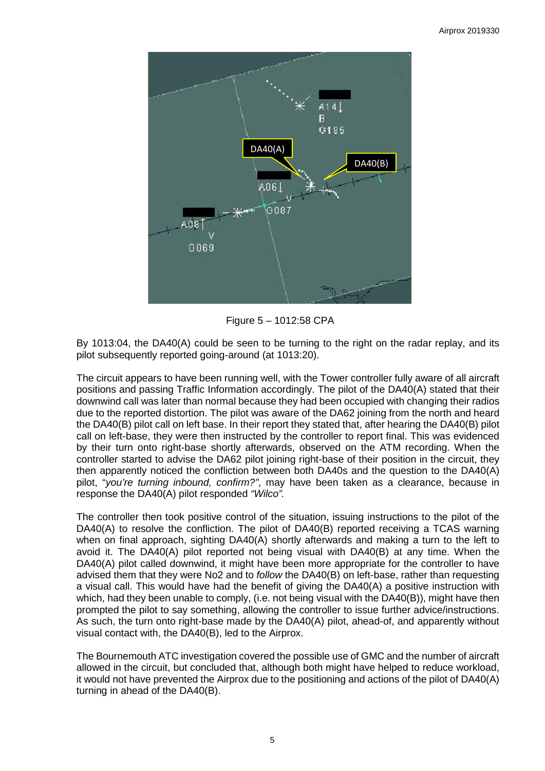

Figure 5 – 1012:58 CPA

By 1013:04, the DA40(A) could be seen to be turning to the right on the radar replay, and its pilot subsequently reported going-around (at 1013:20).

The circuit appears to have been running well, with the Tower controller fully aware of all aircraft positions and passing Traffic Information accordingly. The pilot of the DA40(A) stated that their downwind call was later than normal because they had been occupied with changing their radios due to the reported distortion. The pilot was aware of the DA62 joining from the north and heard the DA40(B) pilot call on left base. In their report they stated that, after hearing the DA40(B) pilot call on left-base, they were then instructed by the controller to report final. This was evidenced by their turn onto right-base shortly afterwards, observed on the ATM recording. When the controller started to advise the DA62 pilot joining right-base of their position in the circuit, they then apparently noticed the confliction between both DA40s and the question to the DA40(A) pilot, "*you're turning inbound, confirm?"*, may have been taken as a clearance, because in response the DA40(A) pilot responded *"Wilco".* 

The controller then took positive control of the situation, issuing instructions to the pilot of the DA40(A) to resolve the confliction. The pilot of DA40(B) reported receiving a TCAS warning when on final approach, sighting  $DA40(A)$  shortly afterwards and making a turn to the left to avoid it. The DA40(A) pilot reported not being visual with DA40(B) at any time. When the DA40(A) pilot called downwind, it might have been more appropriate for the controller to have advised them that they were No2 and to *follow* the DA40(B) on left-base, rather than requesting a visual call. This would have had the benefit of giving the DA40(A) a positive instruction with which, had they been unable to comply, (i.e. not being visual with the DA40(B)), might have then prompted the pilot to say something, allowing the controller to issue further advice/instructions. As such, the turn onto right-base made by the DA40(A) pilot, ahead-of, and apparently without visual contact with, the DA40(B), led to the Airprox.

The Bournemouth ATC investigation covered the possible use of GMC and the number of aircraft allowed in the circuit, but concluded that, although both might have helped to reduce workload, it would not have prevented the Airprox due to the positioning and actions of the pilot of DA40(A) turning in ahead of the DA40(B).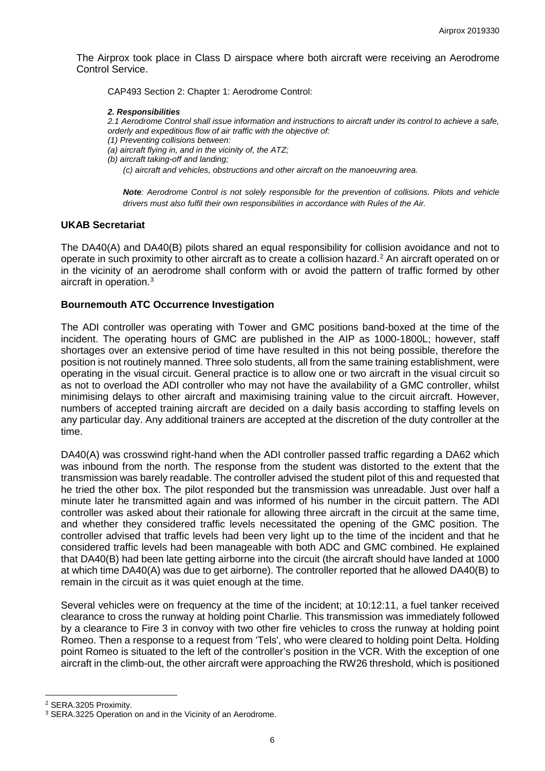The Airprox took place in Class D airspace where both aircraft were receiving an Aerodrome Control Service.

CAP493 Section 2: Chapter 1: Aerodrome Control:

#### *2. Responsibilities*

*2.1 Aerodrome Control shall issue information and instructions to aircraft under its control to achieve a safe, orderly and expeditious flow of air traffic with the objective of:* 

*(1) Preventing collisions between:* 

*(a) aircraft flying in, and in the vicinity of, the ATZ;* 

*(b) aircraft taking-off and landing;* 

*(c) aircraft and vehicles, obstructions and other aircraft on the manoeuvring area.*

*Note: Aerodrome Control is not solely responsible for the prevention of collisions. Pilots and vehicle drivers must also fulfil their own responsibilities in accordance with Rules of the Air.*

# **UKAB Secretariat**

The DA40(A) and DA40(B) pilots shared an equal responsibility for collision avoidance and not to operate in such proximity to other aircraft as to create a collision hazard. [2](#page-5-0) An aircraft operated on or in the vicinity of an aerodrome shall conform with or avoid the pattern of traffic formed by other aircraft in operation. [3](#page-5-1)

### **Bournemouth ATC Occurrence Investigation**

The ADI controller was operating with Tower and GMC positions band-boxed at the time of the incident. The operating hours of GMC are published in the AIP as 1000-1800L; however, staff shortages over an extensive period of time have resulted in this not being possible, therefore the position is not routinely manned. Three solo students, all from the same training establishment, were operating in the visual circuit. General practice is to allow one or two aircraft in the visual circuit so as not to overload the ADI controller who may not have the availability of a GMC controller, whilst minimising delays to other aircraft and maximising training value to the circuit aircraft. However, numbers of accepted training aircraft are decided on a daily basis according to staffing levels on any particular day. Any additional trainers are accepted at the discretion of the duty controller at the time.

DA40(A) was crosswind right-hand when the ADI controller passed traffic regarding a DA62 which was inbound from the north. The response from the student was distorted to the extent that the transmission was barely readable. The controller advised the student pilot of this and requested that he tried the other box. The pilot responded but the transmission was unreadable. Just over half a minute later he transmitted again and was informed of his number in the circuit pattern. The ADI controller was asked about their rationale for allowing three aircraft in the circuit at the same time, and whether they considered traffic levels necessitated the opening of the GMC position. The controller advised that traffic levels had been very light up to the time of the incident and that he considered traffic levels had been manageable with both ADC and GMC combined. He explained that DA40(B) had been late getting airborne into the circuit (the aircraft should have landed at 1000 at which time DA40(A) was due to get airborne). The controller reported that he allowed DA40(B) to remain in the circuit as it was quiet enough at the time.

Several vehicles were on frequency at the time of the incident; at 10:12:11, a fuel tanker received clearance to cross the runway at holding point Charlie. This transmission was immediately followed by a clearance to Fire 3 in convoy with two other fire vehicles to cross the runway at holding point Romeo. Then a response to a request from 'Tels', who were cleared to holding point Delta. Holding point Romeo is situated to the left of the controller's position in the VCR. With the exception of one aircraft in the climb-out, the other aircraft were approaching the RW26 threshold, which is positioned

 $\overline{\phantom{a}}$ 

<span id="page-5-0"></span><sup>2</sup> SERA.3205 Proximity.

<span id="page-5-1"></span><sup>&</sup>lt;sup>3</sup> SERA.3225 Operation on and in the Vicinity of an Aerodrome.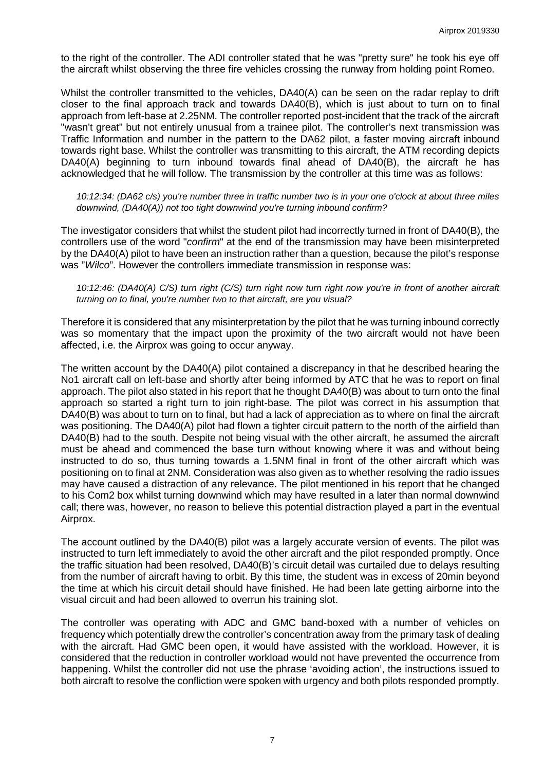to the right of the controller. The ADI controller stated that he was "pretty sure" he took his eye off the aircraft whilst observing the three fire vehicles crossing the runway from holding point Romeo.

Whilst the controller transmitted to the vehicles, DA40(A) can be seen on the radar replay to drift closer to the final approach track and towards DA40(B), which is just about to turn on to final approach from left-base at 2.25NM. The controller reported post-incident that the track of the aircraft "wasn't great" but not entirely unusual from a trainee pilot. The controller's next transmission was Traffic Information and number in the pattern to the DA62 pilot, a faster moving aircraft inbound towards right base. Whilst the controller was transmitting to this aircraft, the ATM recording depicts DA40(A) beginning to turn inbound towards final ahead of DA40(B), the aircraft he has acknowledged that he will follow. The transmission by the controller at this time was as follows:

*10:12:34: (DA62 c/s) you're number three in traffic number two is in your one o'clock at about three miles downwind, (DA40(A)) not too tight downwind you're turning inbound confirm?*

The investigator considers that whilst the student pilot had incorrectly turned in front of DA40(B), the controllers use of the word "*confirm*" at the end of the transmission may have been misinterpreted by the DA40(A) pilot to have been an instruction rather than a question, because the pilot's response was "*Wilco*". However the controllers immediate transmission in response was:

*10:12:46: (DA40(A) C/S) turn right (C/S) turn right now turn right now you're in front of another aircraft turning on to final, you're number two to that aircraft, are you visual?*

Therefore it is considered that any misinterpretation by the pilot that he was turning inbound correctly was so momentary that the impact upon the proximity of the two aircraft would not have been affected, i.e. the Airprox was going to occur anyway.

The written account by the DA40(A) pilot contained a discrepancy in that he described hearing the No1 aircraft call on left-base and shortly after being informed by ATC that he was to report on final approach. The pilot also stated in his report that he thought DA40(B) was about to turn onto the final approach so started a right turn to join right-base. The pilot was correct in his assumption that DA40(B) was about to turn on to final, but had a lack of appreciation as to where on final the aircraft was positioning. The DA40(A) pilot had flown a tighter circuit pattern to the north of the airfield than DA40(B) had to the south. Despite not being visual with the other aircraft, he assumed the aircraft must be ahead and commenced the base turn without knowing where it was and without being instructed to do so, thus turning towards a 1.5NM final in front of the other aircraft which was positioning on to final at 2NM. Consideration was also given as to whether resolving the radio issues may have caused a distraction of any relevance. The pilot mentioned in his report that he changed to his Com2 box whilst turning downwind which may have resulted in a later than normal downwind call; there was, however, no reason to believe this potential distraction played a part in the eventual Airprox.

The account outlined by the DA40(B) pilot was a largely accurate version of events. The pilot was instructed to turn left immediately to avoid the other aircraft and the pilot responded promptly. Once the traffic situation had been resolved, DA40(B)'s circuit detail was curtailed due to delays resulting from the number of aircraft having to orbit. By this time, the student was in excess of 20min beyond the time at which his circuit detail should have finished. He had been late getting airborne into the visual circuit and had been allowed to overrun his training slot.

The controller was operating with ADC and GMC band-boxed with a number of vehicles on frequency which potentially drew the controller's concentration away from the primary task of dealing with the aircraft. Had GMC been open, it would have assisted with the workload. However, it is considered that the reduction in controller workload would not have prevented the occurrence from happening. Whilst the controller did not use the phrase 'avoiding action', the instructions issued to both aircraft to resolve the confliction were spoken with urgency and both pilots responded promptly.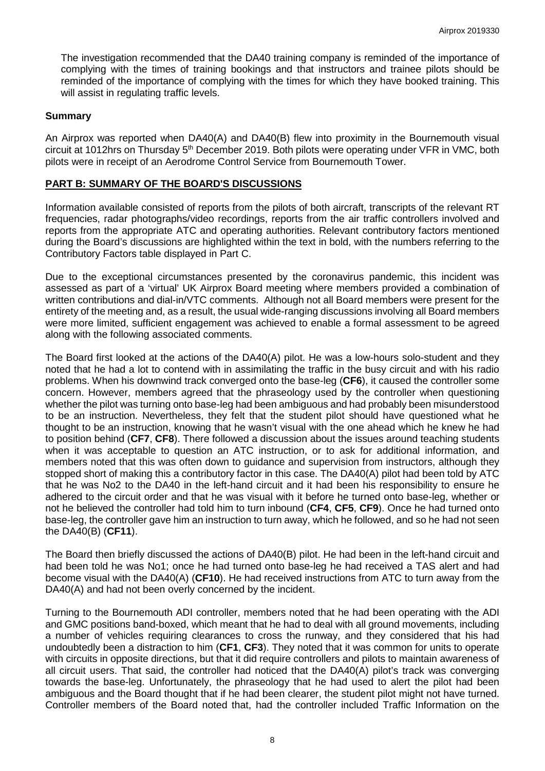The investigation recommended that the DA40 training company is reminded of the importance of complying with the times of training bookings and that instructors and trainee pilots should be reminded of the importance of complying with the times for which they have booked training. This will assist in regulating traffic levels.

### **Summary**

An Airprox was reported when DA40(A) and DA40(B) flew into proximity in the Bournemouth visual circuit at 1012hrs on Thursday 5<sup>th</sup> December 2019. Both pilots were operating under VFR in VMC, both pilots were in receipt of an Aerodrome Control Service from Bournemouth Tower.

### **PART B: SUMMARY OF THE BOARD'S DISCUSSIONS**

Information available consisted of reports from the pilots of both aircraft, transcripts of the relevant RT frequencies, radar photographs/video recordings, reports from the air traffic controllers involved and reports from the appropriate ATC and operating authorities. Relevant contributory factors mentioned during the Board's discussions are highlighted within the text in bold, with the numbers referring to the Contributory Factors table displayed in Part C.

Due to the exceptional circumstances presented by the coronavirus pandemic, this incident was assessed as part of a 'virtual' UK Airprox Board meeting where members provided a combination of written contributions and dial-in/VTC comments. Although not all Board members were present for the entirety of the meeting and, as a result, the usual wide-ranging discussions involving all Board members were more limited, sufficient engagement was achieved to enable a formal assessment to be agreed along with the following associated comments.

The Board first looked at the actions of the DA40(A) pilot. He was a low-hours solo-student and they noted that he had a lot to contend with in assimilating the traffic in the busy circuit and with his radio problems. When his downwind track converged onto the base-leg (**CF6**), it caused the controller some concern. However, members agreed that the phraseology used by the controller when questioning whether the pilot was turning onto base-leg had been ambiguous and had probably been misunderstood to be an instruction. Nevertheless, they felt that the student pilot should have questioned what he thought to be an instruction, knowing that he wasn't visual with the one ahead which he knew he had to position behind (**CF7**, **CF8**). There followed a discussion about the issues around teaching students when it was acceptable to question an ATC instruction, or to ask for additional information, and members noted that this was often down to guidance and supervision from instructors, although they stopped short of making this a contributory factor in this case. The DA40(A) pilot had been told by ATC that he was No2 to the DA40 in the left-hand circuit and it had been his responsibility to ensure he adhered to the circuit order and that he was visual with it before he turned onto base-leg, whether or not he believed the controller had told him to turn inbound (**CF4**, **CF5**, **CF9**). Once he had turned onto base-leg, the controller gave him an instruction to turn away, which he followed, and so he had not seen the DA40(B) (**CF11**).

The Board then briefly discussed the actions of DA40(B) pilot. He had been in the left-hand circuit and had been told he was No1; once he had turned onto base-leg he had received a TAS alert and had become visual with the DA40(A) (**CF10**). He had received instructions from ATC to turn away from the DA40(A) and had not been overly concerned by the incident.

Turning to the Bournemouth ADI controller, members noted that he had been operating with the ADI and GMC positions band-boxed, which meant that he had to deal with all ground movements, including a number of vehicles requiring clearances to cross the runway, and they considered that his had undoubtedly been a distraction to him (**CF1**, **CF3**). They noted that it was common for units to operate with circuits in opposite directions, but that it did require controllers and pilots to maintain awareness of all circuit users. That said, the controller had noticed that the DA40(A) pilot's track was converging towards the base-leg. Unfortunately, the phraseology that he had used to alert the pilot had been ambiguous and the Board thought that if he had been clearer, the student pilot might not have turned. Controller members of the Board noted that, had the controller included Traffic Information on the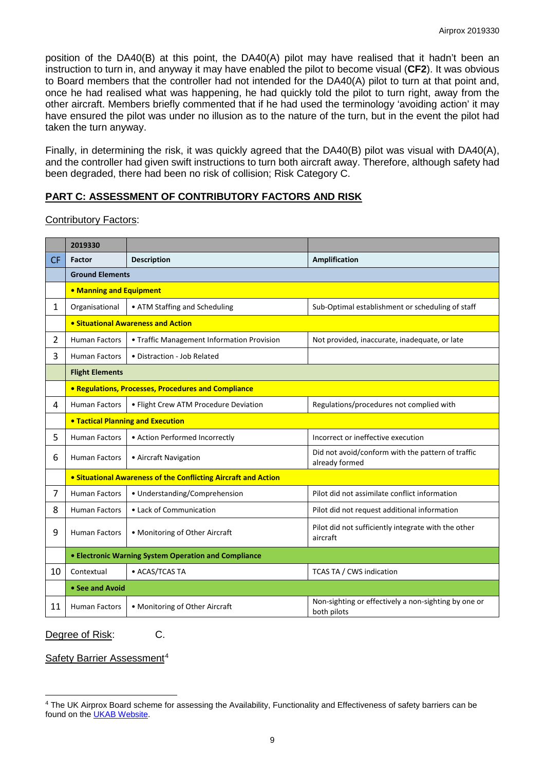position of the DA40(B) at this point, the DA40(A) pilot may have realised that it hadn't been an instruction to turn in, and anyway it may have enabled the pilot to become visual (**CF2**). It was obvious to Board members that the controller had not intended for the DA40(A) pilot to turn at that point and, once he had realised what was happening, he had quickly told the pilot to turn right, away from the other aircraft. Members briefly commented that if he had used the terminology 'avoiding action' it may have ensured the pilot was under no illusion as to the nature of the turn, but in the event the pilot had taken the turn anyway.

Finally, in determining the risk, it was quickly agreed that the DA40(B) pilot was visual with DA40(A), and the controller had given swift instructions to turn both aircraft away. Therefore, although safety had been degraded, there had been no risk of collision; Risk Category C.

# **PART C: ASSESSMENT OF CONTRIBUTORY FACTORS AND RISK**

Contributory Factors:

|              | 2019330                                                        |                                                     |                                                                     |  |  |  |  |  |  |
|--------------|----------------------------------------------------------------|-----------------------------------------------------|---------------------------------------------------------------------|--|--|--|--|--|--|
| <b>CF</b>    | Factor                                                         | <b>Description</b>                                  | Amplification                                                       |  |  |  |  |  |  |
|              | <b>Ground Elements</b>                                         |                                                     |                                                                     |  |  |  |  |  |  |
|              | • Manning and Equipment                                        |                                                     |                                                                     |  |  |  |  |  |  |
| $\mathbf{1}$ | Organisational                                                 | • ATM Staffing and Scheduling                       | Sub-Optimal establishment or scheduling of staff                    |  |  |  |  |  |  |
|              | • Situational Awareness and Action                             |                                                     |                                                                     |  |  |  |  |  |  |
| 2            | <b>Human Factors</b>                                           | • Traffic Management Information Provision          | Not provided, inaccurate, inadequate, or late                       |  |  |  |  |  |  |
| 3            | <b>Human Factors</b>                                           | • Distraction - Job Related                         |                                                                     |  |  |  |  |  |  |
|              | <b>Flight Elements</b>                                         |                                                     |                                                                     |  |  |  |  |  |  |
|              |                                                                | • Regulations, Processes, Procedures and Compliance |                                                                     |  |  |  |  |  |  |
| 4            | <b>Human Factors</b>                                           | • Flight Crew ATM Procedure Deviation               | Regulations/procedures not complied with                            |  |  |  |  |  |  |
|              | <b>. Tactical Planning and Execution</b>                       |                                                     |                                                                     |  |  |  |  |  |  |
| 5            | <b>Human Factors</b>                                           | • Action Performed Incorrectly                      | Incorrect or ineffective execution                                  |  |  |  |  |  |  |
| 6            | <b>Human Factors</b>                                           | • Aircraft Navigation                               | Did not avoid/conform with the pattern of traffic<br>already formed |  |  |  |  |  |  |
|              | • Situational Awareness of the Conflicting Aircraft and Action |                                                     |                                                                     |  |  |  |  |  |  |
| 7            | <b>Human Factors</b>                                           | • Understanding/Comprehension                       | Pilot did not assimilate conflict information                       |  |  |  |  |  |  |
| 8            | <b>Human Factors</b>                                           | • Lack of Communication                             | Pilot did not request additional information                        |  |  |  |  |  |  |
| 9            | <b>Human Factors</b>                                           | • Monitoring of Other Aircraft                      | Pilot did not sufficiently integrate with the other<br>aircraft     |  |  |  |  |  |  |
|              | • Electronic Warning System Operation and Compliance           |                                                     |                                                                     |  |  |  |  |  |  |
| 10           | Contextual                                                     | • ACAS/TCAS TA                                      | <b>TCAS TA / CWS indication</b>                                     |  |  |  |  |  |  |
|              | • See and Avoid                                                |                                                     |                                                                     |  |  |  |  |  |  |
| 11           | <b>Human Factors</b>                                           | • Monitoring of Other Aircraft                      | Non-sighting or effectively a non-sighting by one or<br>both pilots |  |  |  |  |  |  |

Degree of Risk: C.

 $\overline{\phantom{a}}$ 

Safety Barrier Assessment<sup>[4](#page-8-0)</sup>

<span id="page-8-0"></span><sup>4</sup> The UK Airprox Board scheme for assessing the Availability, Functionality and Effectiveness of safety barriers can be found on the [UKAB Website.](http://www.airproxboard.org.uk/Learn-more/Airprox-Barrier-Assessment/)